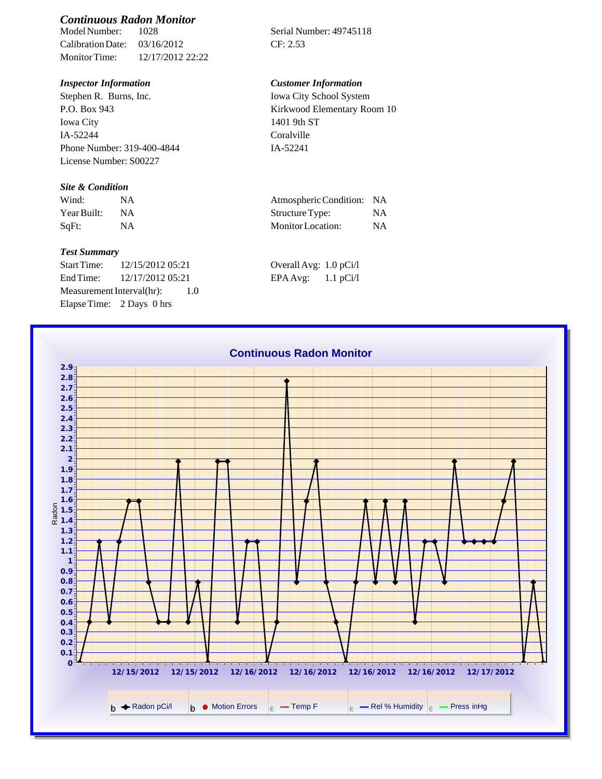# *Continuous Radon Monitor*

Calibration Date: 03/16/2012 CF: 2.53 Monitor Time: 12/17/2012 22:22

Stephen R. Burns, Inc. P.O. Box 943 Iowa City IA-52244 Phone Number: 319-400-4844 License Number: S00227

### *Site & Condition*

| Wind:       | Atmospheric Condition: NA |    |
|-------------|---------------------------|----|
| Year Built: | Structure Type:           |    |
| SqFt:       | Monitor Location:         | ΝA |

#### *Test Summary*

Start Time: 12/15/2012 05:21 End Time:  $12/17/201205:21$ Measurement Interval(hr): 1.0 Elapse Time: 2 Days 0 hrs

Serial Number: 49745118

## *Inspector Information Customer Information*

Iowa City School System Kirkwood Elementary Room 10 1401 9th ST Coralville IA-52241

| Atmospheric Condition: | <b>NA</b> |
|------------------------|-----------|
| Structure Type:        | <b>NA</b> |
| Monitor Location:      | <b>NA</b> |

| Overall Avg: 1.0 pCi/l |             |
|------------------------|-------------|
| EPA Avg:               | $1.1$ pCi/l |

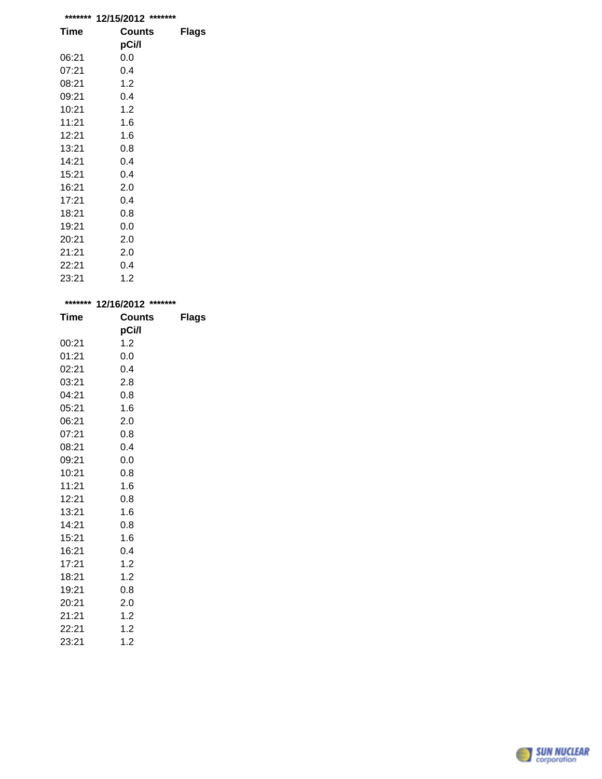| ******* | *******<br>12/15/2012 |       |
|---------|-----------------------|-------|
| Time    | <b>Counts</b>         | Flags |
|         | pCi/l                 |       |
| 06:21   | 0.0                   |       |
| 07:21   | 0.4                   |       |
| 08:21   | 1.2                   |       |
| 09:21   | 0.4                   |       |
| 10:21   | 1.2                   |       |
| 11:21   | 1.6                   |       |
| 12:21   | 1.6                   |       |
| 13:21   | 0.8                   |       |
| 14:21   | 0.4                   |       |
| 15:21   | 0.4                   |       |
| 16:21   | 2.0                   |       |
| 17:21   | 0.4                   |       |
| 18:21   | 0.8                   |       |
| 19:21   | 0.0                   |       |
| 20:21   | 2.0                   |       |
| 21:21   | 2.0                   |       |
| 22:21   | 0.4                   |       |
| 23:21   | 1.2                   |       |

|             | ******* 12/16/2012 ******* |              |  |
|-------------|----------------------------|--------------|--|
| <b>Time</b> | <b>Counts</b>              | <b>Flags</b> |  |
|             | pCi/l                      |              |  |
| 00:21       | 1.2                        |              |  |
| 01:21       | 0.0                        |              |  |
| 02:21       | 0.4                        |              |  |
| 03:21       | 2.8                        |              |  |
| 04:21       | 0.8                        |              |  |
| 05:21       | 1.6                        |              |  |
| 06:21       | 2.0                        |              |  |
| 07:21       | 0.8                        |              |  |
| 08:21       | 0.4                        |              |  |
| 09:21       | 0.0                        |              |  |
| 10:21       | 0.8                        |              |  |
| 11:21       | 1.6                        |              |  |
| 12:21       | 0.8                        |              |  |
| 13:21       | 1.6                        |              |  |
| 14:21       | 0.8                        |              |  |
| 15:21       | 1.6                        |              |  |
| 16:21       | 0.4                        |              |  |
| 17:21       | 1.2                        |              |  |
| 18:21       | 1.2                        |              |  |
| 19:21       | 0.8                        |              |  |
| 20:21       | 2.0                        |              |  |
| 21:21       | 1.2                        |              |  |
| 22:21       | 1.2                        |              |  |
| 23:21       | 1.2                        |              |  |